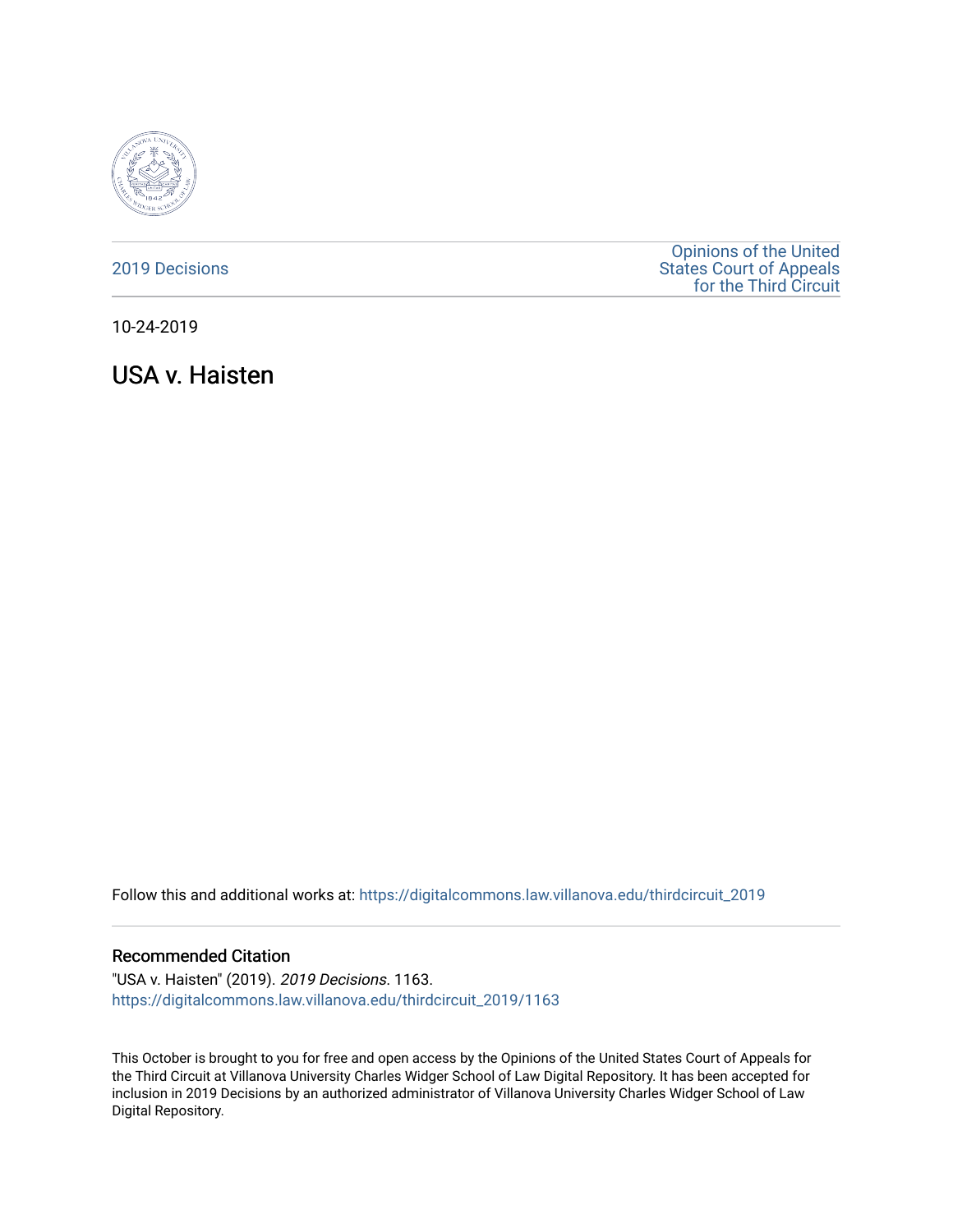

#### [2019 Decisions](https://digitalcommons.law.villanova.edu/thirdcircuit_2019)

[Opinions of the United](https://digitalcommons.law.villanova.edu/thirdcircuit)  [States Court of Appeals](https://digitalcommons.law.villanova.edu/thirdcircuit)  [for the Third Circuit](https://digitalcommons.law.villanova.edu/thirdcircuit) 

10-24-2019

USA v. Haisten

Follow this and additional works at: [https://digitalcommons.law.villanova.edu/thirdcircuit\\_2019](https://digitalcommons.law.villanova.edu/thirdcircuit_2019?utm_source=digitalcommons.law.villanova.edu%2Fthirdcircuit_2019%2F1163&utm_medium=PDF&utm_campaign=PDFCoverPages) 

#### Recommended Citation

"USA v. Haisten" (2019). 2019 Decisions. 1163. [https://digitalcommons.law.villanova.edu/thirdcircuit\\_2019/1163](https://digitalcommons.law.villanova.edu/thirdcircuit_2019/1163?utm_source=digitalcommons.law.villanova.edu%2Fthirdcircuit_2019%2F1163&utm_medium=PDF&utm_campaign=PDFCoverPages) 

This October is brought to you for free and open access by the Opinions of the United States Court of Appeals for the Third Circuit at Villanova University Charles Widger School of Law Digital Repository. It has been accepted for inclusion in 2019 Decisions by an authorized administrator of Villanova University Charles Widger School of Law Digital Repository.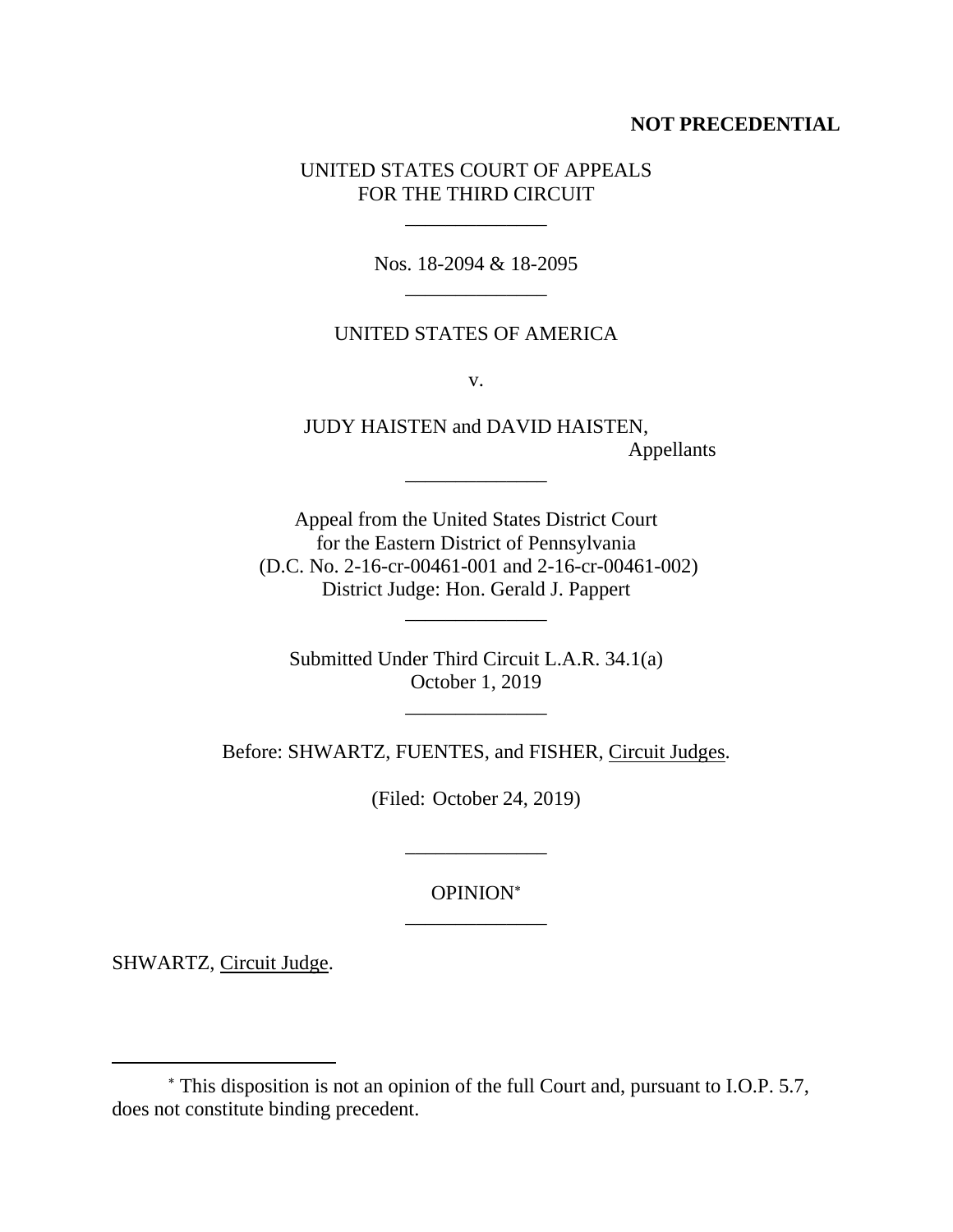## **NOT PRECEDENTIAL**

# UNITED STATES COURT OF APPEALS FOR THE THIRD CIRCUIT

\_\_\_\_\_\_\_\_\_\_\_\_\_\_

Nos. 18-2094 & 18-2095 \_\_\_\_\_\_\_\_\_\_\_\_\_\_

## UNITED STATES OF AMERICA

v.

JUDY HAISTEN and DAVID HAISTEN, Appellants

Appeal from the United States District Court for the Eastern District of Pennsylvania (D.C. No. 2-16-cr-00461-001 and 2-16-cr-00461-002) District Judge: Hon. Gerald J. Pappert

\_\_\_\_\_\_\_\_\_\_\_\_\_\_

Submitted Under Third Circuit L.A.R. 34.1(a) October 1, 2019

\_\_\_\_\_\_\_\_\_\_\_\_\_\_

\_\_\_\_\_\_\_\_\_\_\_\_\_\_

Before: SHWARTZ, FUENTES, and FISHER, Circuit Judges.

(Filed: October 24, 2019)

OPINION \_\_\_\_\_\_\_\_\_\_\_\_\_\_

\_\_\_\_\_\_\_\_\_\_\_\_\_\_

SHWARTZ, Circuit Judge.

This disposition is not an opinion of the full Court and, pursuant to I.O.P. 5.7, does not constitute binding precedent.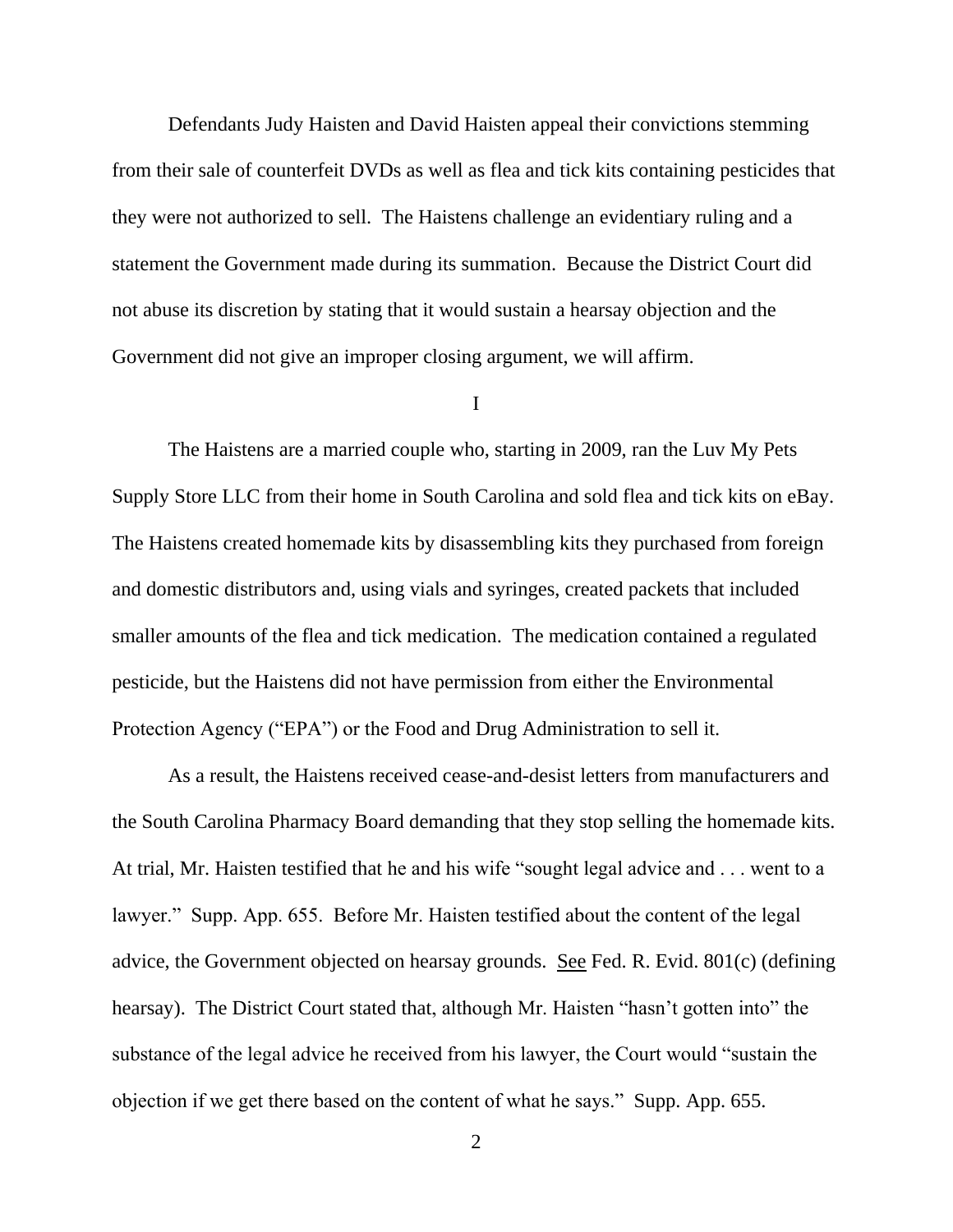Defendants Judy Haisten and David Haisten appeal their convictions stemming from their sale of counterfeit DVDs as well as flea and tick kits containing pesticides that they were not authorized to sell. The Haistens challenge an evidentiary ruling and a statement the Government made during its summation. Because the District Court did not abuse its discretion by stating that it would sustain a hearsay objection and the Government did not give an improper closing argument, we will affirm.

### I

The Haistens are a married couple who, starting in 2009, ran the Luv My Pets Supply Store LLC from their home in South Carolina and sold flea and tick kits on eBay. The Haistens created homemade kits by disassembling kits they purchased from foreign and domestic distributors and, using vials and syringes, created packets that included smaller amounts of the flea and tick medication. The medication contained a regulated pesticide, but the Haistens did not have permission from either the Environmental Protection Agency ("EPA") or the Food and Drug Administration to sell it.

As a result, the Haistens received cease-and-desist letters from manufacturers and the South Carolina Pharmacy Board demanding that they stop selling the homemade kits. At trial, Mr. Haisten testified that he and his wife "sought legal advice and . . . went to a lawyer." Supp. App. 655. Before Mr. Haisten testified about the content of the legal advice, the Government objected on hearsay grounds. See Fed. R. Evid. 801(c) (defining hearsay).The District Court stated that, although Mr. Haisten "hasn't gotten into" the substance of the legal advice he received from his lawyer, the Court would "sustain the objection if we get there based on the content of what he says." Supp. App. 655.

2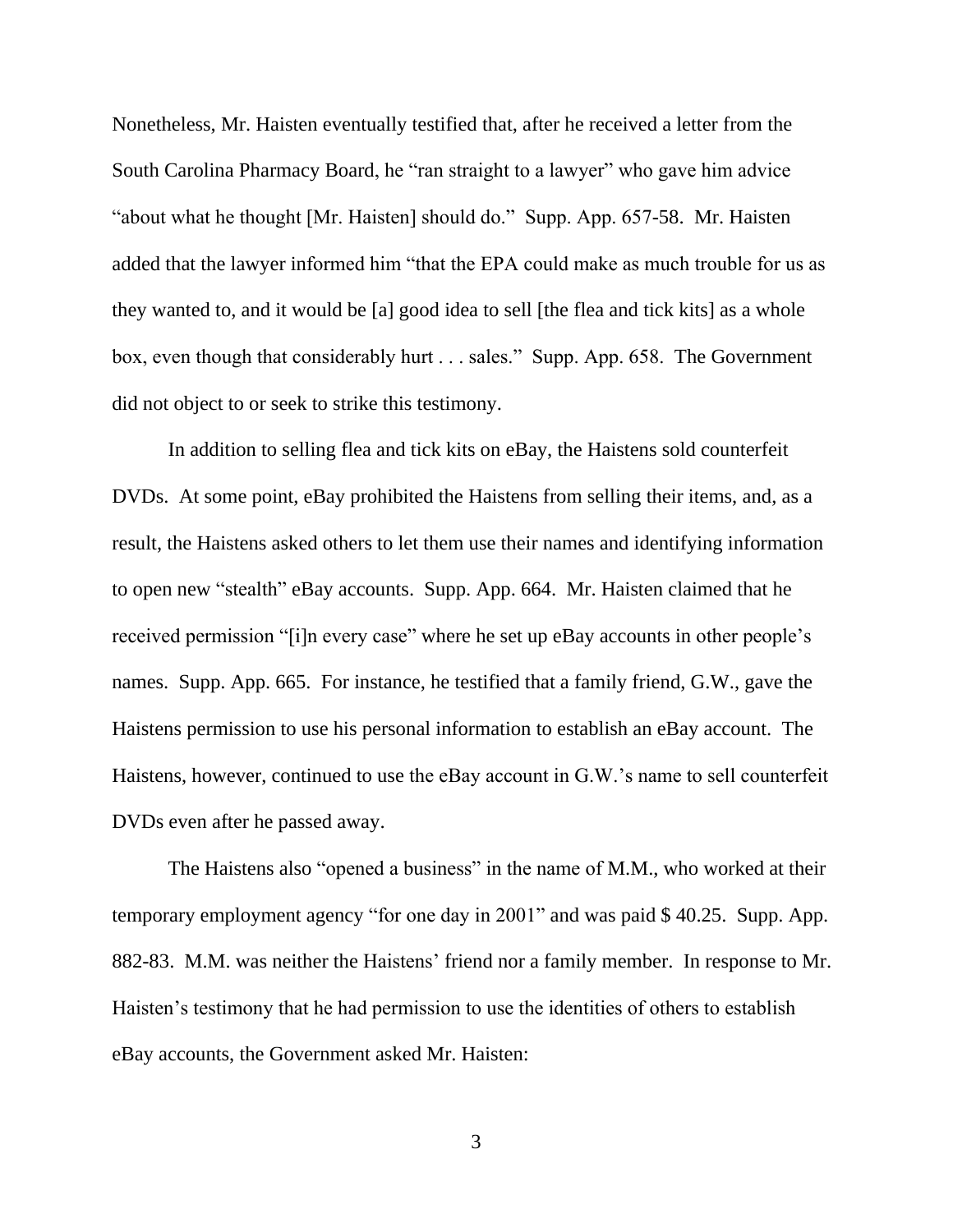Nonetheless, Mr. Haisten eventually testified that, after he received a letter from the South Carolina Pharmacy Board, he "ran straight to a lawyer" who gave him advice "about what he thought [Mr. Haisten] should do." Supp. App. 657-58. Mr. Haisten added that the lawyer informed him "that the EPA could make as much trouble for us as they wanted to, and it would be [a] good idea to sell [the flea and tick kits] as a whole box, even though that considerably hurt . . . sales." Supp. App. 658. The Government did not object to or seek to strike this testimony.

In addition to selling flea and tick kits on eBay, the Haistens sold counterfeit DVDs. At some point, eBay prohibited the Haistens from selling their items, and, as a result, the Haistens asked others to let them use their names and identifying information to open new "stealth" eBay accounts. Supp. App. 664. Mr. Haisten claimed that he received permission "[i]n every case" where he set up eBay accounts in other people's names. Supp. App. 665. For instance, he testified that a family friend, G.W., gave the Haistens permission to use his personal information to establish an eBay account.The Haistens, however, continued to use the eBay account in G.W.'s name to sell counterfeit DVDs even after he passed away.

The Haistens also "opened a business" in the name of M.M., who worked at their temporary employment agency "for one day in 2001" and was paid \$ 40.25. Supp. App. 882-83. M.M. was neither the Haistens' friend nor a family member. In response to Mr. Haisten's testimony that he had permission to use the identities of others to establish eBay accounts, the Government asked Mr. Haisten:

3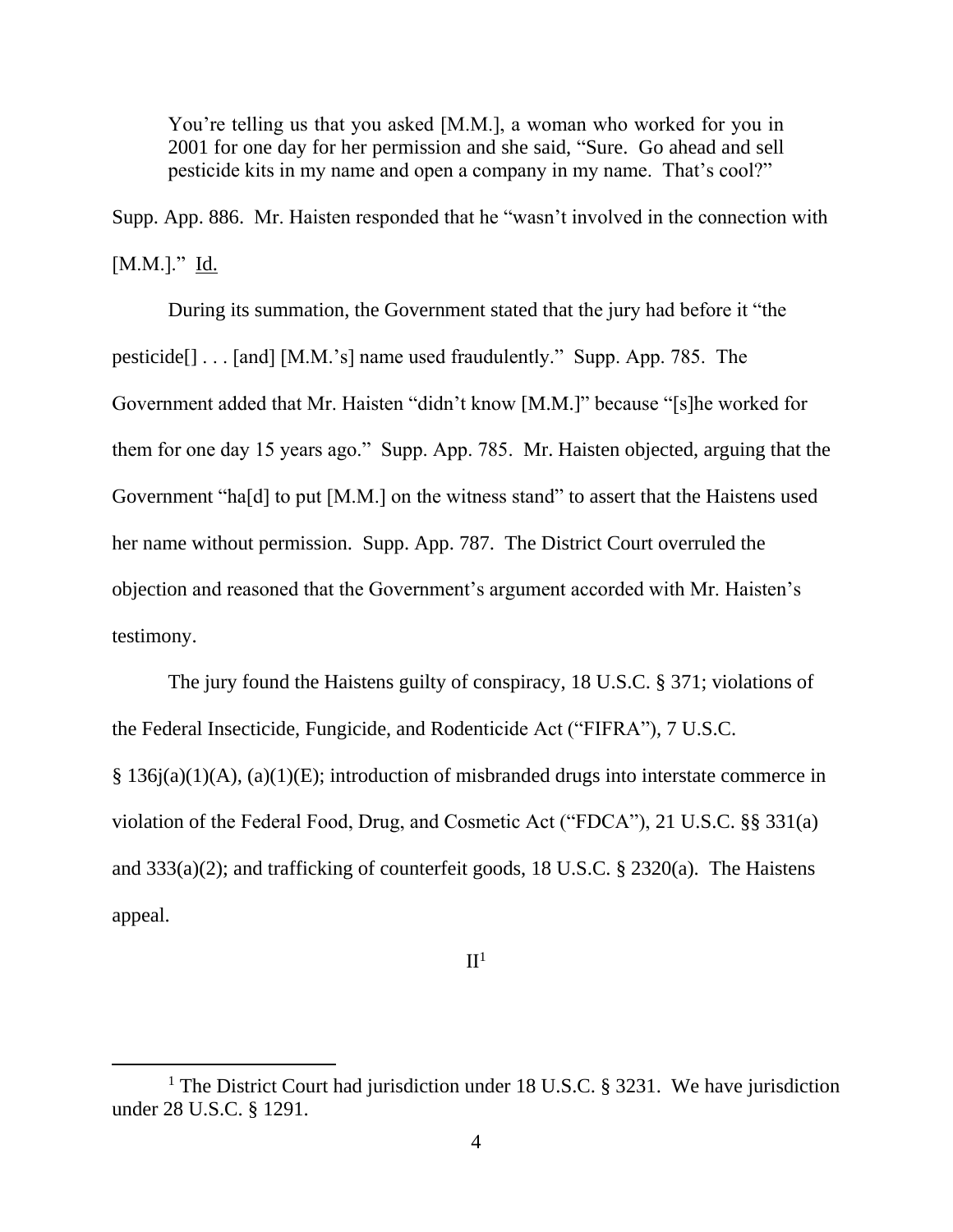You're telling us that you asked [M.M.], a woman who worked for you in 2001 for one day for her permission and she said, "Sure. Go ahead and sell pesticide kits in my name and open a company in my name. That's cool?"

Supp. App. 886. Mr. Haisten responded that he "wasn't involved in the connection with  $[M.M.]$ ." Id.

During its summation, the Government stated that the jury had before it "the pesticide[] . . . [and] [M.M.'s] name used fraudulently." Supp. App. 785. The Government added that Mr. Haisten "didn't know [M.M.]" because "[s]he worked for them for one day 15 years ago." Supp. App. 785. Mr. Haisten objected, arguing that the Government "ha[d] to put [M.M.] on the witness stand" to assert that the Haistens used her name without permission. Supp. App. 787. The District Court overruled the objection and reasoned that the Government's argument accorded with Mr. Haisten's testimony.

The jury found the Haistens guilty of conspiracy, 18 U.S.C. § 371; violations of the Federal Insecticide, Fungicide, and Rodenticide Act ("FIFRA"), 7 U.S.C. § 136j(a)(1)(A), (a)(1)(E); introduction of misbranded drugs into interstate commerce in violation of the Federal Food, Drug, and Cosmetic Act ("FDCA"), 21 U.S.C. §§ 331(a) and 333(a)(2); and trafficking of counterfeit goods, 18 U.S.C. § 2320(a). The Haistens appeal.

# $II<sup>1</sup>$

<sup>&</sup>lt;sup>1</sup> The District Court had jurisdiction under 18 U.S.C. § 3231. We have jurisdiction under 28 U.S.C. § 1291.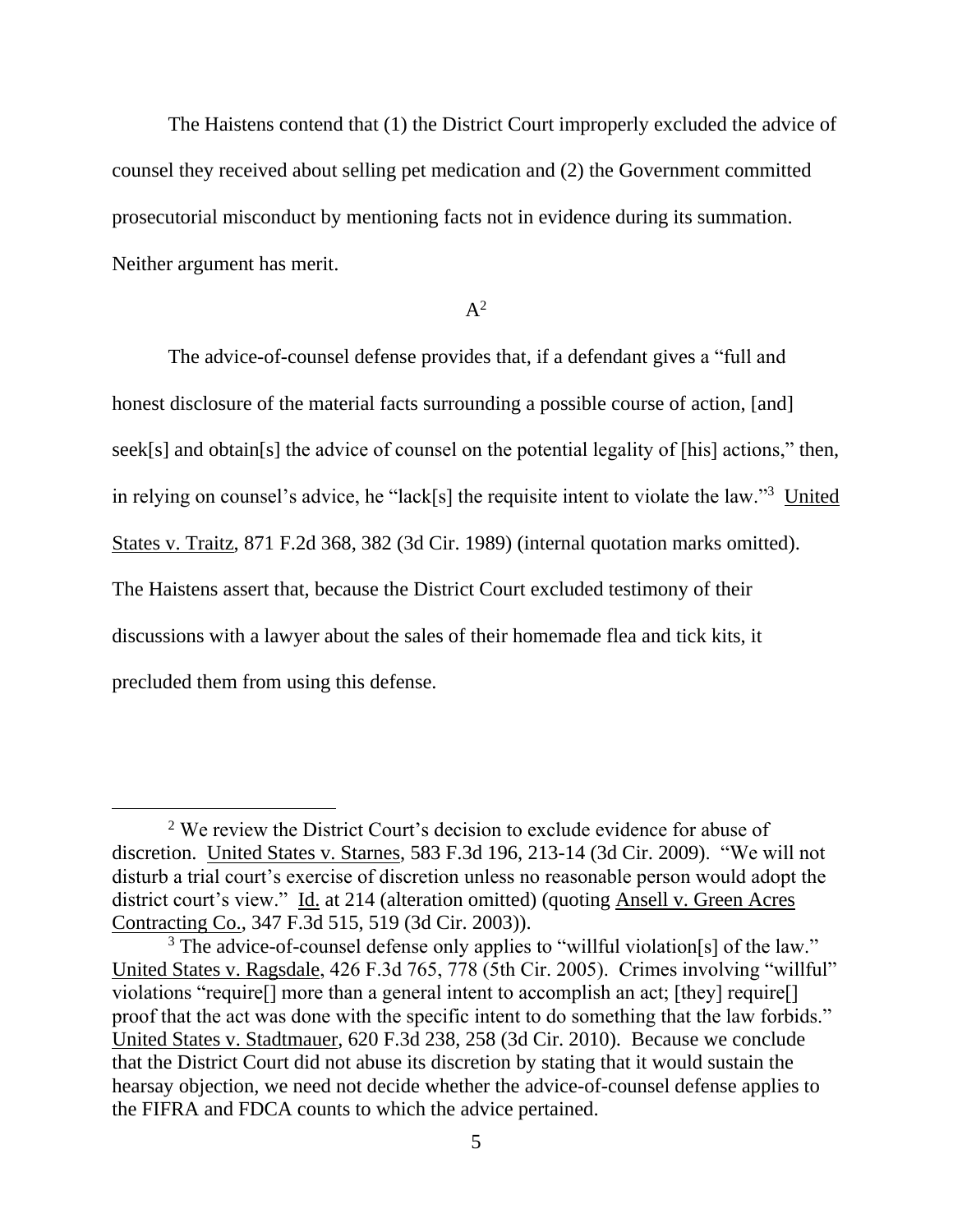The Haistens contend that (1) the District Court improperly excluded the advice of counsel they received about selling pet medication and (2) the Government committed prosecutorial misconduct by mentioning facts not in evidence during its summation. Neither argument has merit.

### $A^2$

The advice-of-counsel defense provides that, if a defendant gives a "full and honest disclosure of the material facts surrounding a possible course of action, [and] seek[s] and obtain[s] the advice of counsel on the potential legality of [his] actions," then, in relying on counsel's advice, he "lack[s] the requisite intent to violate the law."<sup>3</sup> United States v. Traitz, 871 F.2d 368, 382 (3d Cir. 1989) (internal quotation marks omitted). The Haistens assert that, because the District Court excluded testimony of their discussions with a lawyer about the sales of their homemade flea and tick kits, it precluded them from using this defense.

<sup>&</sup>lt;sup>2</sup> We review the District Court's decision to exclude evidence for abuse of discretion. United States v. Starnes, 583 F.3d 196, 213-14 (3d Cir. 2009). "We will not disturb a trial court's exercise of discretion unless no reasonable person would adopt the district court's view." Id. at 214 (alteration omitted) (quoting Ansell v. Green Acres Contracting Co., 347 F.3d 515, 519 (3d Cir. 2003)).

<sup>&</sup>lt;sup>3</sup> The advice-of-counsel defense only applies to "willful violation[s] of the law." United States v. Ragsdale, 426 F.3d 765, 778 (5th Cir. 2005). Crimes involving "willful" violations "require[] more than a general intent to accomplish an act; [they] require[] proof that the act was done with the specific intent to do something that the law forbids." United States v. Stadtmauer, 620 F.3d 238, 258 (3d Cir. 2010). Because we conclude that the District Court did not abuse its discretion by stating that it would sustain the hearsay objection, we need not decide whether the advice-of-counsel defense applies to the FIFRA and FDCA counts to which the advice pertained.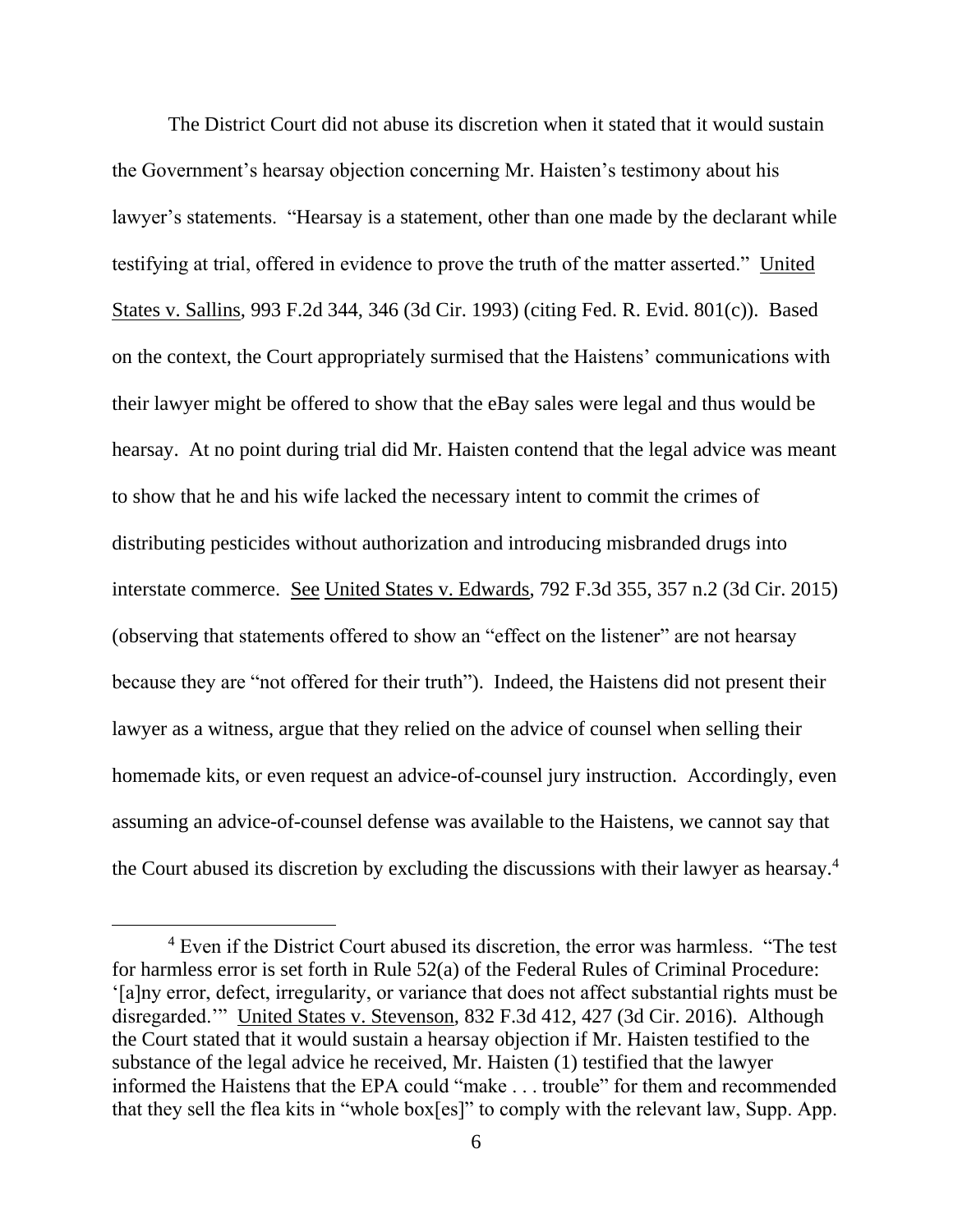The District Court did not abuse its discretion when it stated that it would sustain the Government's hearsay objection concerning Mr. Haisten's testimony about his lawyer's statements. "Hearsay is a statement, other than one made by the declarant while testifying at trial, offered in evidence to prove the truth of the matter asserted." United States v. Sallins, 993 F.2d 344, 346 (3d Cir. 1993) (citing Fed. R. Evid. 801(c)). Based on the context, the Court appropriately surmised that the Haistens' communications with their lawyer might be offered to show that the eBay sales were legal and thus would be hearsay. At no point during trial did Mr. Haisten contend that the legal advice was meant to show that he and his wife lacked the necessary intent to commit the crimes of distributing pesticides without authorization and introducing misbranded drugs into interstate commerce. See United States v. Edwards, 792 F.3d 355, 357 n.2 (3d Cir. 2015) (observing that statements offered to show an "effect on the listener" are not hearsay because they are "not offered for their truth"). Indeed, the Haistens did not present their lawyer as a witness, argue that they relied on the advice of counsel when selling their homemade kits, or even request an advice-of-counsel jury instruction. Accordingly, even assuming an advice-of-counsel defense was available to the Haistens, we cannot say that the Court abused its discretion by excluding the discussions with their lawyer as hearsay.<sup>4</sup>

<sup>&</sup>lt;sup>4</sup> Even if the District Court abused its discretion, the error was harmless. "The test for harmless error is set forth in Rule 52(a) of the Federal Rules of Criminal Procedure: '[a]ny error, defect, irregularity, or variance that does not affect substantial rights must be disregarded.'" United States v. Stevenson, 832 F.3d 412, 427 (3d Cir. 2016). Although the Court stated that it would sustain a hearsay objection if Mr. Haisten testified to the substance of the legal advice he received, Mr. Haisten (1) testified that the lawyer informed the Haistens that the EPA could "make . . . trouble" for them and recommended that they sell the flea kits in "whole box[es]" to comply with the relevant law, Supp. App.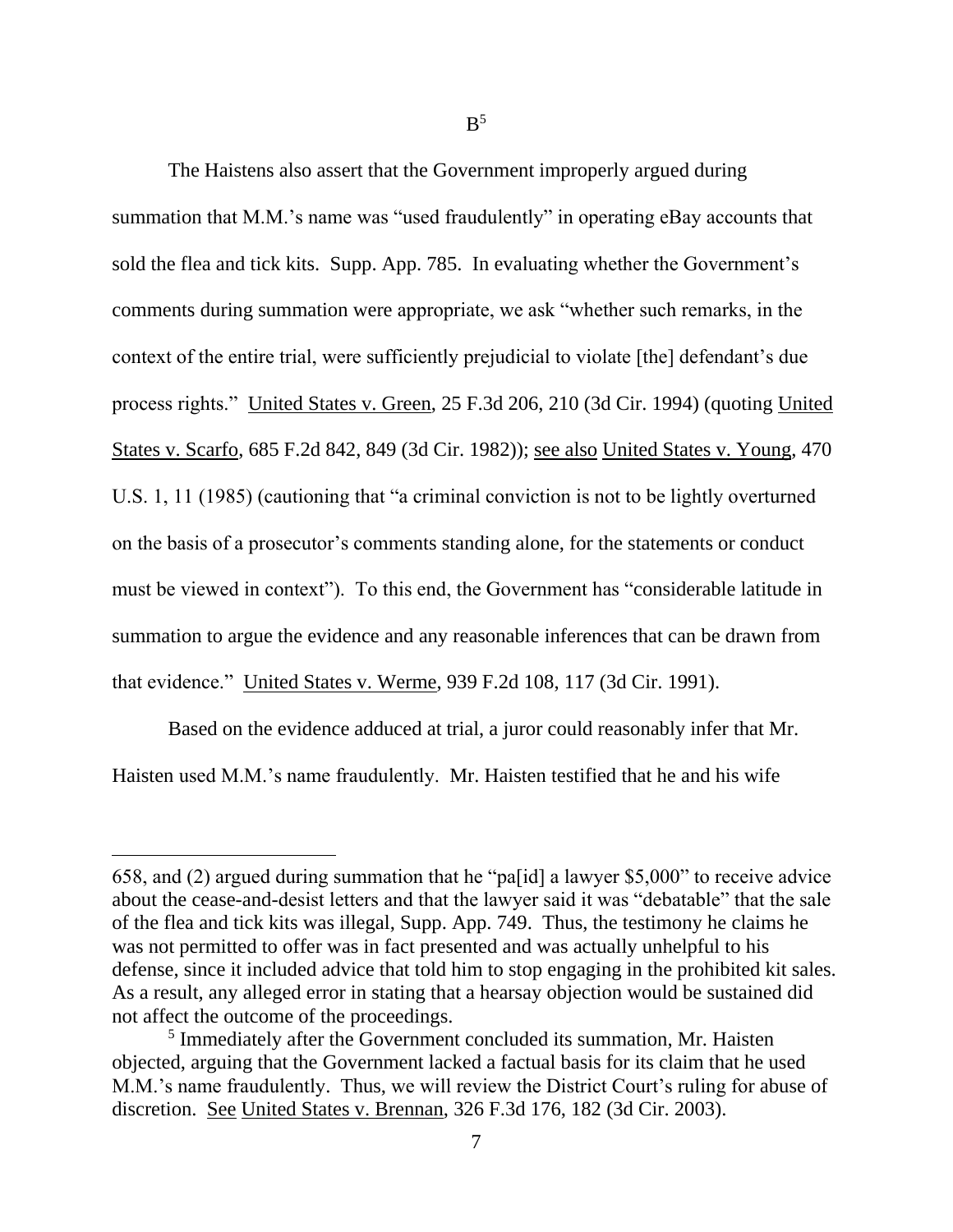The Haistens also assert that the Government improperly argued during summation that M.M.'s name was "used fraudulently" in operating eBay accounts that sold the flea and tick kits. Supp. App. 785. In evaluating whether the Government's comments during summation were appropriate, we ask "whether such remarks, in the context of the entire trial, were sufficiently prejudicial to violate [the] defendant's due process rights." United States v. Green, 25 F.3d 206, 210 (3d Cir. 1994) (quoting United States v. Scarfo, 685 F.2d 842, 849 (3d Cir. 1982)); see also United States v. Young, 470 U.S. 1, 11 (1985) (cautioning that "a criminal conviction is not to be lightly overturned on the basis of a prosecutor's comments standing alone, for the statements or conduct must be viewed in context"). To this end, the Government has "considerable latitude in summation to argue the evidence and any reasonable inferences that can be drawn from that evidence." United States v. Werme, 939 F.2d 108, 117 (3d Cir. 1991).

Based on the evidence adduced at trial, a juror could reasonably infer that Mr. Haisten used M.M.'s name fraudulently. Mr. Haisten testified that he and his wife

<sup>658,</sup> and (2) argued during summation that he "pa[id] a lawyer \$5,000" to receive advice about the cease-and-desist letters and that the lawyer said it was "debatable" that the sale of the flea and tick kits was illegal, Supp. App. 749. Thus, the testimony he claims he was not permitted to offer was in fact presented and was actually unhelpful to his defense, since it included advice that told him to stop engaging in the prohibited kit sales. As a result, any alleged error in stating that a hearsay objection would be sustained did not affect the outcome of the proceedings.

<sup>&</sup>lt;sup>5</sup> Immediately after the Government concluded its summation, Mr. Haisten objected, arguing that the Government lacked a factual basis for its claim that he used M.M.'s name fraudulently. Thus, we will review the District Court's ruling for abuse of discretion. See United States v. Brennan, 326 F.3d 176, 182 (3d Cir. 2003).